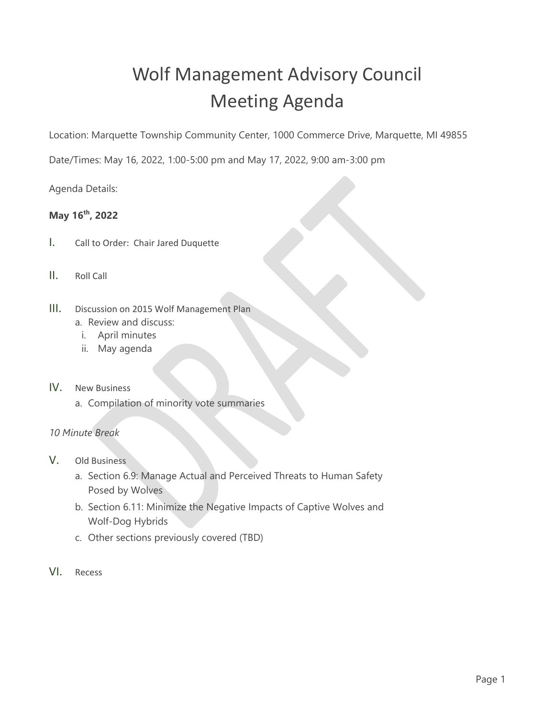## Wolf Management Advisory Council Meeting Agenda

Location: Marquette Township Community Center, 1000 Commerce Drive, Marquette, MI 49855

Date/Times: May 16, 2022, 1:00-5:00 pm and May 17, 2022, 9:00 am-3:00 pm

Agenda Details:

## **May 16th, 2022**

- I. Call to Order: Chair Jared Duquette
- II. Roll Call
- III. Discussion on 2015 Wolf Management Plan
	- a. Review and discuss:
	- i. April minutes
	- ii. May agenda
- IV. New Business
	- a. Compilation of minority vote summaries
- *10 Minute Break*
- V. Old Business
	- a. Section 6.9: Manage Actual and Perceived Threats to Human Safety Posed by Wolves
	- b. Section 6.11: Minimize the Negative Impacts of Captive Wolves and Wolf-Dog Hybrids
	- c. Other sections previously covered (TBD)
- VI. Recess